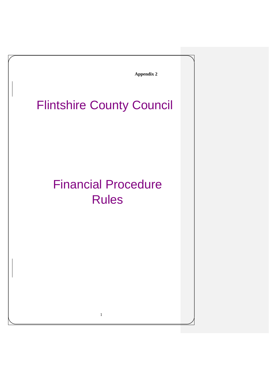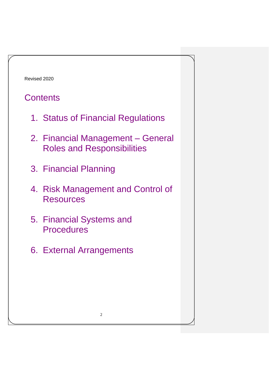Revised 2020

# **Contents**

- 1. Status of Financial Regulations
- 2. Financial Management General Roles and Responsibilities
- 3. Financial Planning
- 4. Risk Management and Control of **Resources**
- 5. Financial Systems and **Procedures**
- 6. External Arrangements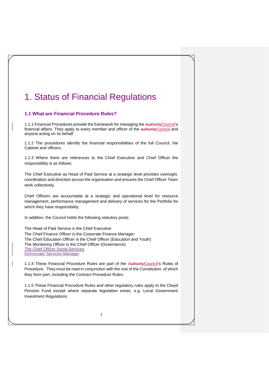# 1. Status of Financial Regulations

### **1.1 What are Financial Procedure Rules?**

1.1.1 Financial Procedures provide the framework for managing the AuthorityCouncil's financial affairs. They apply to every member and officer of the authorityCouncil and anyone acting on its behalf.

1.1.2 The procedures identify the financial responsibilities of the full Council, the Cabinet and officers.

1.1.3 Where there are references to the Chief Executive and Chief Officer the responsibility is as follows:

The Chief Executive as Head of Paid Service at a strategic level provides oversight, coordination and direction across the organisation and ensures the Chief Officer Team work collectively.

Chief Officers are accountable at a strategic and operational level for resource management, performance management and delivery of services for the Portfolio for which they have responsibility.

In addition, the Council holds the following statutory posts:

The Head of Paid Service is the Chief Executive The Chief Finance Officer is the Corporate Finance Manager The Chief Education Officer is the Chief Officer (Education and Youth) The Monitoring Officer is the Chief Officer (Governance) The Chief Officer Social Services Democratic Services Manager

1.1.4 These Financial Procedure Rules are part of the AuthorityCouncil's Rules of Procedure. They must be read in conjunction with the rest of the Constitution, of which they form part, including the Contract Procedure Rules.

1.1.5 These Financial Procedure Rules and other regulatory rules apply to the Clwyd Pension Fund except where separate legislation exists, e.g. Local Government Investment Regulations.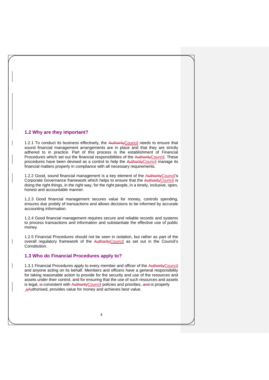# **1.2 Why are they important?**

1.2.1 To conduct its business effectively, the AuthorityCouncil needs to ensure that sound financial management arrangements are in place and that they are strictly adhered to in practice. Part of this process is the establishment of Financial Procedures which set out the financial responsibilities of the AuthorityCouncil. These procedures have been devised as a control to help the AuthorityCouncil manage its financial matters properly in compliance with all necessary requirements.

1.2.2 Good, sound financial management is a key element of the AuthorityCouncil's Corporate Governance framework which helps to ensure that the AuthorityCouncil is doing the right things, in the right way, for the right people, in a timely, inclusive, open, honest and accountable manner.

1.2.3 Good financial management secures value for money, controls spending, ensures due probity of transactions and allows decisions to be informed by accurate accounting information.

1.2.4 Good financial management requires secure and reliable records and systems to process transactions and information and substantiate the effective use of public money*.*

1.2.5 Financial Procedures should not be seen in isolation, but rather as part of the overall regulatory framework of the AuthorityCouncil as set out in the Council's Constitution.

### **1.3 Who do Financial Procedures apply to?**

1.3.1 Financial Procedures apply to every member and officer of the AuthorityCouncil and anyone acting on its behalf. Members and officers have a general responsibility for taking reasonable action to provide for the security and use of the resources and assets under their control, and for ensuring that the use of such resources and assets is legal, is consistent with Authority Council policies and priorities, and is properly aAuthorised, provides value for money and achieves best value.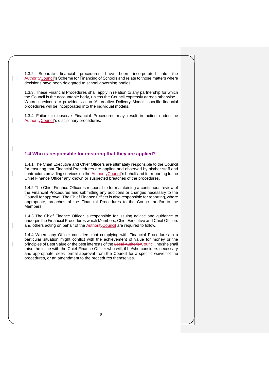1.3.2 Separate financial procedures have been incorporated into the AuthorityCouncil's Scheme for Financing of Schools and relate to those matters where decisions have been delegated to school governing bodies.

1.3.3. These Financial Procedures shall apply in relation to any partnership for which the Council is the accountable body, unless the Council expressly agrees otherwise. Where services are provided via an 'Alternative Delivery Model', specific financial procedures will be incorporated into the individual models.

1.3.4 Failure to observe Financial Procedures may result in action under the AuthorityCouncil's disciplinary procedures.

#### **1.4 Who is responsible for ensuring that they are applied?**

1.4.1 The Chief Executive and Chief Officers are ultimately responsible to the Council for ensuring that Financial Procedures are applied and observed by his/her staff and contractors providing services on the AuthorityCouncil's behalf and for reporting to the Chief Finance Officer any known or suspected breaches of the procedures.

1.4.2 The Chief Finance Officer is responsible for maintaining a continuous review of the Financial Procedures and submitting any additions or changes necessary to the Council for approval. The Chief Finance Officer is also responsible for reporting, where appropriate, breaches of the Financial Procedures to the Council and/or to the Members.

1.4.3 The Chief Finance Officer is responsible for issuing advice and guidance to underpin the Financial Procedures which Members, Chief Executive and Chief Officers and others acting on behalf of the AuthorityCouncil are required to follow.

1.4.4 Where any Officer considers that complying with Financial Procedures in a particular situation might conflict with the achievement of value for money or the principles of Best Value or the best interests of the Local Authority Council, he/she shall raise the issue with the Chief Finance Officer who will, if he/she considers necessary and appropriate, seek formal approval from the Council for a specific waiver of the procedures, or an amendment to the procedures themselves.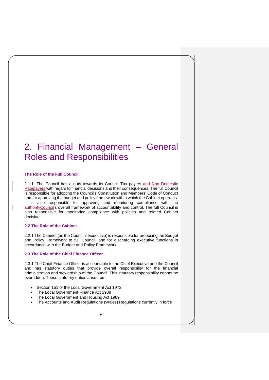# 2. Financial Management – General Roles and Responsibilities

#### **The Role of the Full Council**

2.1.1. The Council has a duty towards its Council Tax payers and Non Domestic Ratepayers with regard to financial decisions and their consequences. The full Council is responsible for adopting the Council's Constitution and Members' Code of Conduct and for approving the budget and policy framework within which the Cabinet operates. It is also responsible for approving and monitoring compliance with the authorityCouncil's overall framework of accountability and control. The full Council is also responsible for monitoring compliance with policies and related Cabinet decisions.

#### **2.2 The Role of the Cabinet**

2.2.1 The Cabinet (as the Council's Executive) is responsible for proposing the Budget and Policy Framework to full Council, and for discharging executive functions in accordance with the Budget and Policy Framework.

#### **2.3 The Role of the Chief Finance Officer**

2.3.1 The Chief Finance Officer is accountable to the Chief Executive and the Council and has statutory duties that provide overall responsibility for the financial administration and stewardship of the Council. This statutory responsibility cannot be overridden. These statutory duties arise from:

- Section 151 of the Local Government Act 1972
- The Local Government Finance Act 1988
- The Local Government and Housing Act 1989
- The Accounts and Audit Regulations (Wales) Regulations currently in force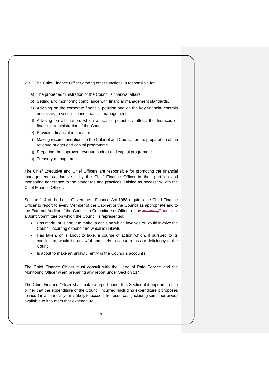2.3.2 The Chief Finance Officer among other functions is responsible for;

- a) The proper administration of the Council's financial affairs.
- b) Setting and monitoring compliance with financial management standards.
- c) Advising on the corporate financial position and on the key financial controls necessary to secure sound financial management.
- d) Advising on all matters which affect, or potentially affect, the finances or financial administration of the Council.
- e) Providing financial information.
- f) Making recommendations to the Cabinet and Council for the preparation of the revenue budget and capital programme.
- g) Preparing the approved revenue budget and capital programme.
- h) Treasury management.

The Chief Executive and Chief Officers are responsible for promoting the financial management standards set by the Chief Finance Officer in their portfolio and monitoring adherence to the standards and practices, liaising as necessary with the Chief Finance Officer.

Section 114 of the Local Government Finance Act 1988 requires the Chief Finance Officer to report to every Member of the Cabinet or the Council as appropriate and to the External Auditor, if the Council, a Committee or Officer of the AuthorityCouncil, or a Joint Committee on which the Council is represented:

- Has made, or is about to make, a decision which involves or would involve the Council incurring expenditure which is unlawful.
- Has taken, or is about to take, a course of action which, if pursued to its conclusion, would be unlawful and likely to cause a loss or deficiency to the Council.
- Is about to make an unlawful entry in the Council's accounts.

The Chief Finance Officer must consult with the Head of Paid Service and the Monitoring Officer when preparing any report under Section 114.

The Chief Finance Officer shall make a report under this Section if it appears to him or her that the expenditure of the Council incurred (including expenditure it proposes to incur) in a financial year is likely to exceed the resources (including sums borrowed) available to it to meet that expenditure.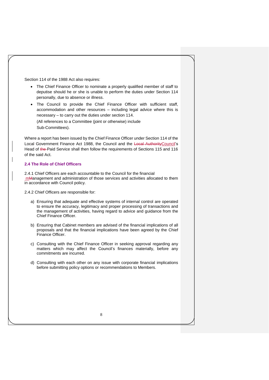Section 114 of the 1988 Act also requires:

- The Chief Finance Officer to nominate a properly qualified member of staff to deputise should he or she is unable to perform the duties under Section 114 personally, due to absence or illness.
- The Council to provide the Chief Finance Officer with sufficient staff, accommodation and other resources – including legal advice where this is necessary – to carry out the duties under section 114.
	- (All references to a Committee (joint or otherwise) include Sub-Committees).

Where a report has been issued by the Chief Finance Officer under Section 114 of the Local Government Finance Act 1988, the Council and the Local AuthorityCouncil's Head of the Paid Service shall then follow the requirements of Sections 115 and 116 of the said Act.

#### **2.4 The Role of Chief Officers**

2.4.1 Chief Officers are each accountable to the Council for the financial mManagement and administration of those services and activities allocated to them in accordance with Council policy.

2.4.2 Chief Officers are responsible for:

- a) Ensuring that adequate and effective systems of internal control are operated to ensure the accuracy, legitimacy and proper processing of transactions and the management of activities, having regard to advice and guidance from the Chief Finance Officer.
- b) Ensuring that Cabinet members are advised of the financial implications of all proposals and that the financial implications have been agreed by the Chief Finance Officer.
- c) Consulting with the Chief Finance Officer in seeking approval regarding any matters which may affect the Council's finances materially, before any commitments are incurred.
- d) Consulting with each other on any issue with corporate financial implications before submitting policy options or recommendations to Members.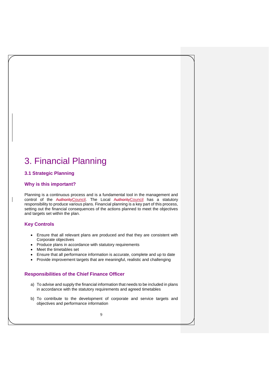# 3. Financial Planning

### **3.1 Strategic Planning**

# **Why is this important?**

Planning is a continuous process and is a fundamental tool in the management and control of the AuthorityCouncil. The Local AuthorityCouncil has a statutory responsibility to produce various plans. Financial planning is a key part of this process, setting out the financial consequences of the actions planned to meet the objectives and targets set within the plan.

### **Key Controls**

 $\overline{\phantom{a}}$ 

- Ensure that all relevant plans are produced and that they are consistent with Corporate objectives
- Produce plans in accordance with statutory requirements
- Meet the timetables set
- Ensure that all performance information is accurate, complete and up to date
- Provide improvement targets that are meaningful, realistic and challenging

# **Responsibilities of the Chief Finance Officer**

- a) To advise and supply the financial information that needs to be included in plans in accordance with the statutory requirements and agreed timetables
- b) To contribute to the development of corporate and service targets and objectives and performance information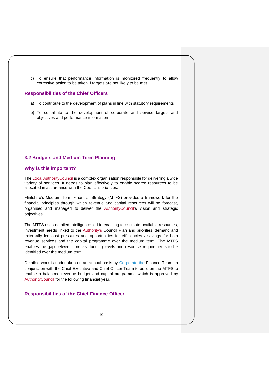c) To ensure that performance information is monitored frequently to allow corrective action to be taken if targets are not likely to be met

#### **Responsibilities of the Chief Officers**

- a) To contribute to the development of plans in line with statutory requirements
- b) To contribute to the development of corporate and service targets and objectives and performance information.

#### **3.2 Budgets and Medium Term Planning**

#### **Why is this important?**

The Local AuthorityCouncil is a complex organisation responsible for delivering a wide variety of services. It needs to plan effectively to enable scarce resources to be allocated in accordance with the Council's priorities.

Flintshire's Medium Term Financial Strategy (MTFS) provides a framework for the financial principles through which revenue and capital resources will be forecast, organised and managed to deliver the Authority Council's vision and strategic objectives.

The MTFS uses detailed intelligence led forecasting to estimate available resources, investment needs linked to the Authority's Council Plan and priorities, demand and externally led cost pressures and opportunities for efficiencies / savings for both revenue services and the capital programme over the medium term. The MTFS enables the gap between forecast funding levels and resource requirements to be identified over the medium term.

Detailed work is undertaken on an annual basis by Corporate the Finance Team, in conjunction with the Chief Executive and Chief Officer Team to build on the MTFS to enable a balanced revenue budget and capital programme which is approved by Authority Council for the following financial year.

#### **Responsibilities of the Chief Finance Officer**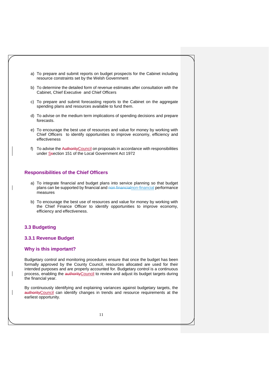- a) To prepare and submit reports on budget prospects for the Cabinet including resource constraints set by the Welsh Government
- b) To determine the detailed form of revenue estimates after consultation with the Cabinet, Chief Executive and Chief Officers
- c) To prepare and submit forecasting reports to the Cabinet on the aggregate spending plans and resources available to fund them.
- d) To advise on the medium term implications of spending decisions and prepare forecasts.
- e) To encourage the best use of resources and value for money by working with Chief Officers to identify opportunities to improve economy, efficiency and effectiveness
- f) To advise the Authority Council on proposals in accordance with responsibilities under Ssection 151 of the Local Government Act 1972

# **Responsibilities of the Chief Officers**

- a) To integrate financial and budget plans into service planning so that budget plans can be supported by financial and non financialnon-financial performance measures
- b) To encourage the best use of resources and value for money by working with the Chief Finance Officer to identify opportunities to improve economy, efficiency and effectiveness.

### **3.3 Budgeting**

#### **3.3.1 Revenue Budget**

### **Why is this important?**

Budgetary control and monitoring procedures ensure that once the budget has been formally approved by the County Council, resources allocated are used for their intended purposes and are properly accounted for. Budgetary control is a continuous process, enabling the authorityCouncil to review and adjust its budget targets during the financial year.

By continuously identifying and explaining variances against budgetary targets, the authorityCouncil can identify changes in trends and resource requirements at the earliest opportunity.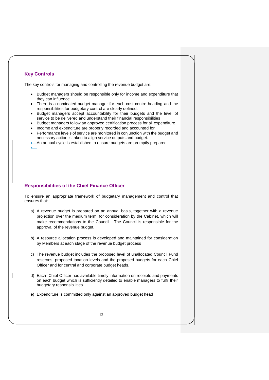# **Key Controls**

.

 $\overline{\phantom{a}}$ 

The key controls for managing and controlling the revenue budget are:

- Budget managers should be responsible only for income and expenditure that they can influence
- There is a nominated budget manager for each cost centre heading and the responsibilities for budgetary control are clearly defined.
- Budget managers accept accountability for their budgets and the level of service to be delivered and understand their financial responsibilities
- Budget managers follow an approved certification process for all expenditure
- Income and expenditure are properly recorded and accounted for
- Performance levels of service are monitored in conjunction with the budget and necessary action is taken to align service outputs and budget.
- An annual cycle is established to ensure budgets are promptly prepared

# **Responsibilities of the Chief Finance Officer**

To ensure an appropriate framework of budgetary management and control that ensures that:

- a) A revenue budget is prepared on an annual basis, together with a revenue projection over the medium term, for consideration by the Cabinet, which will make recommendations to the Council. The Council is responsible for the approval of the revenue budget.
- b) A resource allocation process is developed and maintained for consideration by Members at each stage of the revenue budget process
- c) The revenue budget includes the proposed level of unallocated Council Fund reserves, proposed taxation levels and the proposed budgets for each Chief Officer and for central and corporate budget heads.
- d) Each Chief Officer has available timely information on receipts and payments on each budget which is sufficiently detailed to enable managers to fulfil their budgetary responsibilities
- e) Expenditure is committed only against an approved budget head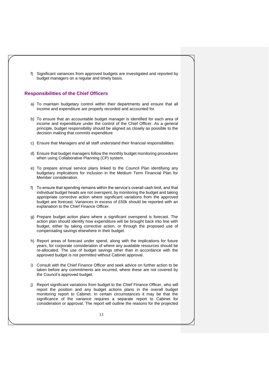f) Significant variances from approved budgets are investigated and reported by budget managers on a regular and timely basis.

### **Responsibilities of the Chief Officers**

- a) To maintain budgetary control within their departments and ensure that all income and expenditure are properly recorded and accounted for.
- b) To ensure that an accountable budget manager is identified for each area of income and expenditure under the control of the Chief Officer. As a general principle, budget responsibility should be aligned as closely as possible to the decision making that commits expenditure
- c) Ensure that Managers and all staff understand their financial responsibilities.
- d) Ensure that budget managers follow the monthly budget monitoring procedures when using Collaborative Planning (CP) system.
- e) To prepare annual service plans linked to the Council Plan identifying any budgetary implications for inclusion in the Medium Term Financial Plan for Member consideration.
- f) To ensure that spending remains within the service's overall cash limit, and that individual budget heads are not overspent, by monitoring the budget and taking appropriate corrective action where significant variations from the approved budget are forecast. Variances in excess of £50k should be reported with an explanation to the Chief Finance Officer.
- g) Prepare budget action plans where a significant overspend is forecast. The action plan should identify how expenditure will be brought back into line with budget, either by taking corrective action, or through the proposed use of compensating savings elsewhere in their budget.
- h) Report areas of forecast under spend, along with the implications for future years, for corporate consideration of where any available resources should be re-allocated. The use of budget savings other than in accordance with the approved budget is not permitted without Cabinet approval.
- i) Consult with the Chief Finance Officer and seek advice on further action to be taken before any commitments are incurred, where these are not covered by the Council's approved budget.
- j) Report significant variations from budget to the Chief Finance Officer, who will report the position and any budget actions plans in the overall budget monitoring report to Cabinet. In certain circumstances it may be that the significance of the variance requires a separate report to Cabinet for consideration or approval. The report will outline the reasons for the projected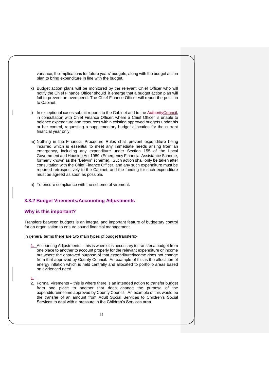variance, the implications for future years' budgets, along with the budget action plan to bring expenditure in line with the budget.

- k) Budget action plans will be monitored by the relevant Chief Officer who will notify the Chief Finance Officer should it emerge that a budget action plan will fail to prevent an overspend. The Chief Finance Officer will report the position to Cabinet.
- I) In exceptional cases submit reports to the Cabinet and to the AuthorityCouncil. in consultation with Chief Finance Officer, where a Chief Officer is unable to balance expenditure and resources within existing approved budgets under his or her control, requesting a supplementary budget allocation for the current financial year only.
- m) Nothing in the Financial Procedure Rules shall prevent expenditure being incurred which is essential to meet any immediate needs arising from an emergency, including any expenditure under Section 155 of the Local Government and Housing Act 1989 (Emergency Financial Assistance Scheme, formerly known as the "Belwin" scheme). Such action shall only be taken after consultation with the Chief Finance Officer, and any such expenditure must be reported retrospectively to the Cabinet, and the funding for such expenditure must be agreed as soon as possible.
- n) To ensure compliance with the scheme of virement.

### **3.3.2 Budget Virements/Accounting Adjustments**

#### **Why is this important?**

Transfers between budgets is an integral and important feature of budgetary control for an organisation to ensure sound financial management.

In general terms there are two main types of budget transfers:-

1. Accounting Adjustments – this is where it is necessary to transfer a budget from one place to another to account properly for the relevant expenditure or income but where the approved purpose of that expenditure/income does not change from that approved by County Council. An example of this is the allocation of energy inflation which is held centrally and allocated to portfolio areas based on evidenced need.

1.

2. Formal Virements – this is where there is an intended action to transfer budget from one place to another that does change the purpose of the expenditure/income approved by County Council. An example of this would be the transfer of an amount from Adult Social Services to Children's Social Services to deal with a pressure in the Children's Services area.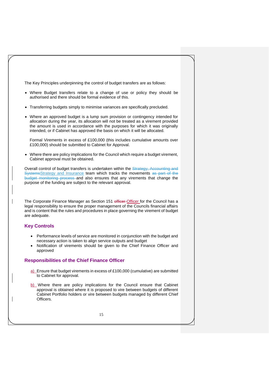The Key Principles underpinning the control of budget transfers are as follows:

- Where Budget transfers relate to a change of use or policy they should be authorised and there should be formal evidence of this.
- Transferring budgets simply to minimise variances are specifically precluded.
- Where an approved budget is a lump sum provision or contingency intended for allocation during the year, its allocation will not be treated as a virement provided the amount is used in accordance with the purposes for which it was originally intended, or if Cabinet has approved the basis on which it will be allocated.

Formal Virements in excess of £100,000 (this includes cumulative amounts over £100,000) should be submitted to Cabinet for Approval.

 Where there are policy implications for the Council which require a budget virement, Cabinet approval must be obtained.

Overall control of budget transfers is undertaken within the Strategy, Accounting and SystemsStrategy and Insurance team which tracks the movements as part of the budget monitoring process and also ensures that any virements that change the purpose of the funding are subject to the relevant approval.

The Corporate Finance Manager as Section 151 officer-Officer for the Council has a legal responsibility to ensure the proper management of the Councils financial affairs and is content that the rules and procedures in place governing the virement of budget are adequate.

### **Key Controls**

- Performance levels of service are monitored in conjunction with the budget and necessary action is taken to align service outputs and budget
- Notification of virements should be given to the Chief Finance Officer and approved

# **Responsibilities of the Chief Finance Officer**

- a) Ensure that budget virements in excess of £100,000 (cumulative) are submitted to Cabinet for approval.
- b) Where there are policy implications for the Council ensure that Cabinet approval is obtained where it is proposed to vire between budgets of different Cabinet Portfolio holders or vire between budgets managed by different Chief Officers.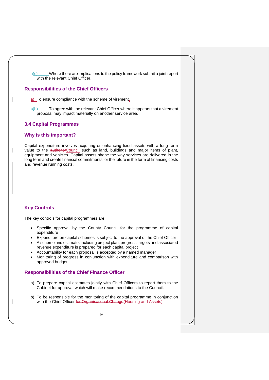$\frac{a}{c}$  Where there are implications to the policy framework submit a joint report with the relevant Chief Officer.

### **Responsibilities of the Chief Officers**

a) To ensure compliance with the scheme of virement.

 $a$ b) To agree with the relevant Chief Officer where it appears that a virement proposal may impact materially on another service area.

# **3.4 Capital Programmes**

# **Why is this important?**

Capital expenditure involves acquiring or enhancing fixed assets with a long term value to the authority Council such as land, buildings and major items of plant, equipment and vehicles. Capital assets shape the way services are delivered in the long term and create financial commitments for the future in the form of financing costs and revenue running costs.

# **Key Controls**

The key controls for capital programmes are:

- Specific approval by the County Council for the programme of capital expenditure
- Expenditure on capital schemes is subject to the approval of the Chief Officer
- A scheme and estimate, including project plan, progress targets and associated revenue expenditure is prepared for each capital project
- Accountability for each proposal is accepted by a named manager
- Monitoring of progress in conjunction with expenditure and comparison with approved budget.

### **Responsibilities of the Chief Finance Officer**

- a) To prepare capital estimates jointly with Chief Officers to report them to the Cabinet for approval which will make recommendations to the Council.
- b) To be responsible for the monitoring of the capital programme in conjunction with the Chief Officer for Organisational Change (Housing and Assets).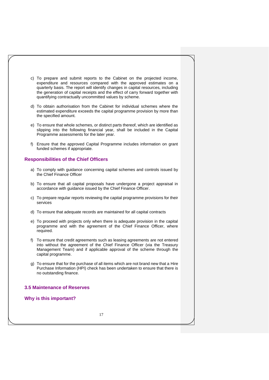- c) To prepare and submit reports to the Cabinet on the projected income, expenditure and resources compared with the approved estimates on a quarterly basis. The report will identify changes in capital resources, including the generation of capital receipts and the effect of carry forward together with quantifying contractually uncommitted values by scheme.
- d) To obtain authorisation from the Cabinet for individual schemes where the estimated expenditure exceeds the capital programme provision by more than the specified amount.
- e) To ensure that whole schemes, or distinct parts thereof, which are identified as slipping into the following financial year, shall be included in the Capital Programme assessments for the later year.
- f) Ensure that the approved Capital Programme includes information on grant funded schemes if appropriate.

#### **Responsibilities of the Chief Officers**

- a) To comply with guidance concerning capital schemes and controls issued by the Chief Finance Officer
- b) To ensure that all capital proposals have undergone a project appraisal in accordance with guidance issued by the Chief Finance Officer.
- c) To prepare regular reports reviewing the capital programme provisions for their services
- d) To ensure that adequate records are maintained for all capital contracts
- e) To proceed with projects only when there is adequate provision in the capital programme and with the agreement of the Chief Finance Officer, where required.
- f) To ensure that credit agreements such as leasing agreements are not entered into without the agreement of the Chief Finance Officer (via the Treasury Management Team) and if applicable approval of the scheme through the capital programme.
- g) To ensure that for the purchase of all items which are not brand new that a Hire Purchase Information (HPI) check has been undertaken to ensure that there is no outstanding finance.

## **3.5 Maintenance of Reserves**

**Why is this important?**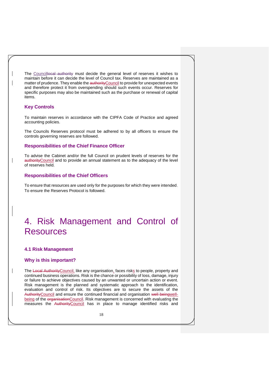The Councillocal authority must decide the general level of reserves it wishes to maintain before it can decide the level of Council tax. Reserves are maintained as a matter of prudence. They enable the authority Council to provide for unexpected events and therefore protect it from overspending should such events occur. Reserves for specific purposes may also be maintained such as the purchase or renewal of capital items.

### **Key Controls**

To maintain reserves in accordance with the CIPFA Code of Practice and agreed accounting policies.

The Councils Reserves protocol must be adhered to by all officers to ensure the controls governing reserves are followed.

## **Responsibilities of the Chief Finance Officer**

To advise the Cabinet and/or the full Council on prudent levels of reserves for the authorityCouncil and to provide an annual statement as to the adequacy of the level of reserves held.

#### **Responsibilities of the Chief Officers**

To ensure that resources are used only for the purposes for which they were intended. To ensure the Reserves Protocol is followed.

# 4. Risk Management and Control of **Resources**

#### **4.1 Risk Management**

#### **Why is this important?**

 $\overline{\phantom{a}}$ 

The Local AuthorityCouncil, like any organisation, faces risks to people, property and continued business operations. Risk is the chance or possibility of loss, damage, injury or failure to achieve objectives caused by an unwanted or uncertain action or event. Risk management is the planned and systematic approach to the identification, evaluation and control of risk. Its objectives are to secure the assets of the AuthorityCouncil and ensure the continued financial and organisation well beingwellbeing of the organisation Council. Risk management is concerned with evaluating the measures the AuthorityCouncil has in place to manage identified risks and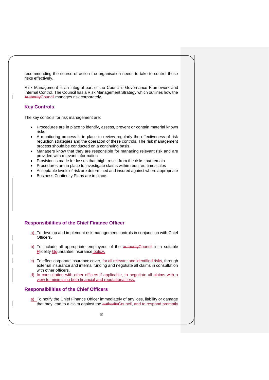recommending the course of action the organisation needs to take to control these risks effectively.

Risk Management is an integral part of the Council's Governance Framework and Internal Control. The Council has a Risk Management Strategy which outlines how the AuthorityCouncil manages risk corporately.

# **Key Controls**

The key controls for risk management are:

- Procedures are in place to identify, assess, prevent or contain material known risks
- A monitoring process is in place to review regularly the effectiveness of risk reduction strategies and the operation of these controls. The risk management process should be conducted on a continuing basis.
- Managers know that they are responsible for managing relevant risk and are provided with relevant information
- Provision is made for losses that might result from the risks that remain
- Procedures are in place to investigate claims within required timescales
- Acceptable levels of risk are determined and insured against where appropriate
- Business Continuity Plans are in place.

# **Responsibilities of the Chief Finance Officer**

- a) To develop and implement risk management controls in conjunction with Chief Officers.
- b) To include all appropriate employees of the authorityCouncil in a suitable Ffidelity Gguarantee insurance policy.
- c) To effect corporate insurance cover, for all relevant and identified risks, through external insurance and internal funding and negotiate all claims in consultation with other officers.
- d) In consultation with other officers if applicable, to negotiate all claims with a view to minimising both financial and reputational loss.

### **Responsibilities of the Chief Officers**

a) To notify the Chief Finance Officer immediately of any loss, liability or damage that may lead to a claim against the authority Council, and to respond promptly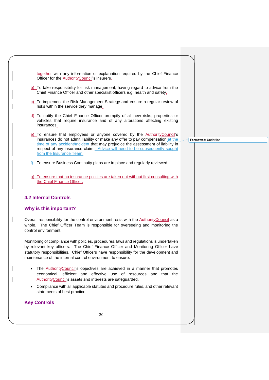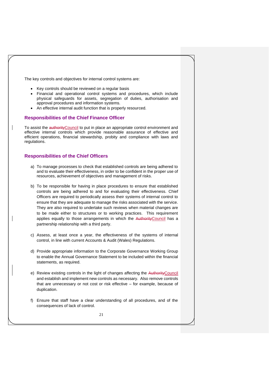The key controls and objectives for internal control systems are:

- Key controls should be reviewed on a regular basis
- Financial and operational control systems and procedures, which include physical safeguards for assets, segregation of duties, authorisation and approval procedures and information systems.
- An effective internal audit function that is properly resourced.

#### **Responsibilities of the Chief Finance Officer**

To assist the authority Council to put in place an appropriate control environment and effective internal controls which provide reasonable assurance of effective and efficient operations, financial stewardship, probity and compliance with laws and regulations.

## **Responsibilities of the Chief Officers**

- a) To manage processes to check that established controls are being adhered to and to evaluate their effectiveness, in order to be confident in the proper use of resources, achievement of objectives and management of risks.
- b) To be responsible for having in place procedures to ensure that established controls are being adhered to and for evaluating their effectiveness. Chief Officers are required to periodically assess their systems of internal control to ensure that they are adequate to manage the risks associated with the service. They are also required to undertake such reviews when material changes are to be made either to structures or to working practices. This requirement applies equally to those arrangements in which the Authority Council has a partnership relationship with a third party.
- c) Assess, at least once a year, the effectiveness of the systems of internal control, in line with current Accounts & Audit (Wales) Regulations.
- d) Provide appropriate information to the Corporate Governance Working Group to enable the Annual Governance Statement to be included within the financial statements, as required.
- e) Review existing controls in the light of changes affecting the AuthorityCouncil and establish and implement new controls as necessary. Also remove controls that are unnecessary or not cost or risk effective – for example, because of duplication.
- f) Ensure that staff have a clear understanding of all procedures, and of the consequences of lack of control.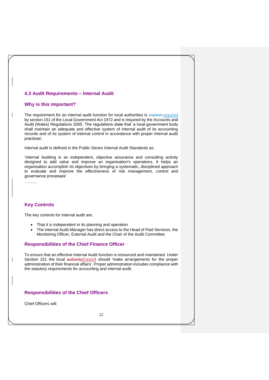# **4.3 Audit Requirements – Internal Audit**

### **Why is this important?**

The requirement for an internal audit function for local authorities is implied required by section 151 of the Local Government Act 1972 and is required by the Accounts and Audit (Wales) Regulations 2005. The regulations state that 'a local government body shall maintain an adequate and effective system of internal audit of its accounting records and of its system of internal control in accordance with proper internal audit practices'.

Internal audit is defined in the Public Sector Internal Audit Standards as:

'Internal Auditing is an independent, objective assurance and consulting activity designed to add value and improve an organisation's operations. It helps an organisation accomplish its objectives by bringing a systematic, disciplined approach to evaluate and improve the effectiveness of risk management, control and governance processes'

# **Key Controls**

The key controls for internal audit are:

- That it is independent in its planning and operation
- The Internal Audit Manager has direct access to the Head of Paid Services, the Monitoring Officer, External Audit and the Chair of the Audit Committee

### **Responsibilities of the Chief Finance Officer**

To ensure that an effective Internal Audit function is resourced and maintained. Under Section 151 the local authorityCouncil should 'make arrangements for the proper administration of their financial affairs'. Proper administration includes compliance with the statutory requirements for accounting and internal audit.

### **Responsibilities of the Chief Officers**

Chief Officers will: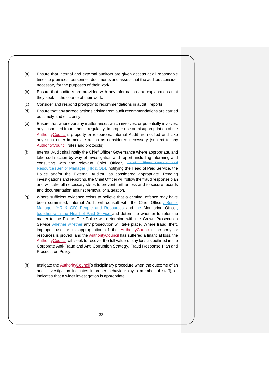- (a) Ensure that internal and external auditors are given access at all reasonable times to premises, personnel, documents and assets that the auditors consider necessary for the purposes of their work.
- (b) Ensure that auditors are provided with any information and explanations that they seek in the course of their work.
- (c) Consider and respond promptly to recommendations in audit reports.
- (d) Ensure that any agreed actions arising from audit recommendations are carried out timely and efficiently.
- (e) Ensure that whenever any matter arises which involves, or potentially involves, any suspected fraud, theft, irregularity, improper use or misappropriation of the AuthorityCouncil's property or resources, Internal Audit are notified and take any such other immediate action as considered necessary (subject to any AuthorityCouncil rules and protocols).
- (f) Internal Audit shall notify the Chief Officer Governance where appropriate, and take such action by way of investigation and report, including informing and consulting with the relevant Chief Officer, Chief Officer People and ResourcesSenior Manager (HR & OD), notifying the Head of Paid Service, the Police and/or the External Auditor, as considered appropriate. Pending investigations and reporting, the Chief Officer will follow the fraud response plan and will take all necessary steps to prevent further loss and to secure records and documentation against removal or alteration.
- (g) Where sufficient evidence exists to believe that a criminal offence may have been committed, Internal Audit will consult with the Chief Officer, Senior Manager (HR & OD) People and Resources and the Monitoring Officer, together with the Head of Paid Service and determine whether to refer the matter to the Police. The Police will determine with the Crown Prosecution Service whether whether any prosecution will take place. Where fraud, theft, improper use or misappropriation of the AuthorityCouncil's property or resources is proved, and the AuthorityCouncil has suffered a financial loss, the AuthorityCouncil will seek to recover the full value of any loss as outlined in the Corporate Anti-Fraud and Anti Corruption Strategy, Fraud Response Plan and Prosecution Policy.
- (h) Instigate the AuthorityCouncil's disciplinary procedure when the outcome of an audit investigation indicates improper behaviour (by a member of staff), or indicates that a wider investigation is appropriate.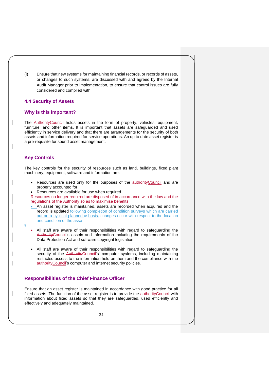(i) Ensure that new systems for maintaining financial records, or records of assets, or changes to such systems, are discussed with and agreed by the Internal Audit Manager prior to implementation, to ensure that control issues are fully considered and complied with.

### **4.4 Security of Assets**

#### **Why is this important?**

The AuthorityCouncil holds assets in the form of property, vehicles, equipment, furniture, and other items. It is important that assets are safeguarded and used efficiently in service delivery and that there are arrangements for the security of both assets and information required for service operations. An up to date asset register is a pre-requisite for sound asset management.

# **Key Controls**

t

The key controls for the security of resources such as land, buildings, fixed plant machinery, equipment, software and information are:

- Resources are used only for the purposes of the authorityCouncil and are properly accounted for
- Resources are available for use when required
- Resources no longer required are disposed of in accordance with the law and the regulations of the Authority so as to maximise benefits
- An asset register is maintained, assets are recorded when acquired and the record is updated following completion of condition surveys which are carried out on a cyclical planned asbasis. changes occur with respect to the location and condition of the asse
- All staff are aware of their responsibilities with regard to safeguarding the AuthorityCouncil's assets and information including the requirements of the Data Protection Act and software copyright legislation
- All staff are aware of their responsibilities with regard to safeguarding the security of the AuthorityCouncil's' computer systems, including maintaining restricted access to the information held on them and the compliance with the authority Council's computer and internet security policies.

#### **Responsibilities of the Chief Finance Officer**

Ensure that an asset register is maintained in accordance with good practice for all fixed assets. The function of the asset register is to provide the authority Council with information about fixed assets so that they are safeguarded, used efficiently and effectively and adequately maintained.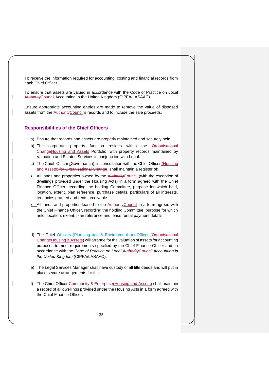To receive the information required for accounting, costing and financial records from each Chief Officer.

To ensure that assets are valued in accordance with the Code of Practice on Local AuthorityCouncil Accounting in the United Kingdom (CIPFA/LASAAC).

Ensure appropriate accounting entries are made to remove the value of disposed assets from the AuthorityCouncil's records and to include the sale proceeds.

#### **Responsibilities of the Chief Officers**

- a) Ensure that records and assets are properly maintained and securely held.
- b) The corporate property function resides within the Organisational ChangeHousing and Assets Portfolio, with property records maintained by Valuation and Estates Services in conjunction with Legal.
- c) The Chief Officer (Governance), in consultation with the Chief Officer (Housing and Assets) for Organisational Change, shall maintain a register of:
- All lands and properties owned by the AuthorityCouncil (with the exception of dwellings provided under the Housing Acts) in a form agreed with the Chief Finance Officer, recording the holding Committee, purpose for which held, location, extent, plan reference, purchase details, particulars of all interests, tenancies granted and rents receivable.
- All lands and properties leased to the Authority Council in a form agreed with the Chief Finance Officer, recording the holding Committee, purpose for which held, location, extent, plan reference and lease rental payment details.
- d) The Chief Officers (Planning and & Environment and Officer (Organisational ChangeHousing & Assets) will arrange for the valuation of assets for accounting purposes to meet requirements specified by the Chief Finance Officer and, in accordance with the *Code of Practice on Local AuthorityCouncil Accounting in the United Kingdom* (CIPFA/LASAAC).
- e) The Legal Services Manager shall have custody of all title deeds and will put in place secure arrangements for this.
- f) The Chief Officer Community & Enterprise(Housing and Assets) shall maintain a record of all dwellings provided under the Housing Acts in a form agreed with the Chief Finance Officer.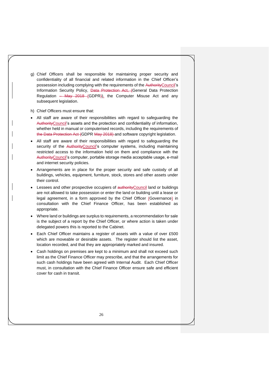g) Chief Officers shall be responsible for maintaining proper security and confidentiality of all financial and related information in the Chief Officer's possession including complying with the requirements of the AuthorityCouncil's Information Security Policy, Data Protection Act, (General Data Protection Regulation  $-May - 2018 - (GDPR)$ , the Computer Misuse Act and any subsequent legislation.

h) Chief Officers must ensure that:

- All staff are aware of their responsibilities with regard to safeguarding the AuthorityCouncil's assets and the protection and confidentiality of information, whether held in manual or computerised records, including the requirements of the Data Protection Act (GDPR May 2018) and software copyright legislation.
- All staff are aware of their responsibilities with regard to safeguarding the security of the AuthorityCouncil's computer systems, including maintaining restricted access to the information held on them and compliance with the AuthorityCouncil's computer, portable storage media acceptable usage, e-mail and internet security policies.
- Arrangements are in place for the proper security and safe custody of all buildings, vehicles, equipment, furniture, stock, stores and other assets under their control.
- Lessees and other prospective occupiers of authorityCouncil land or buildings are not allowed to take possession or enter the land or building until a lease or legal agreement, in a form approved by the Chief Officer (Governance) in consultation with the Chief Finance Officer, has been established as appropriate.
- Where land or buildings are surplus to requirements, a recommendation for sale is the subject of a report by the Chief Officer, or where action is taken under delegated powers this is reported to the Cabinet.
- Each Chief Officer maintains a register of assets with a value of over £500 which are moveable or desirable assets. The register should list the asset, location recorded, and that they are appropriately marked and insured.
- Cash holdings on premises are kept to a minimum and shall not exceed such limit as the Chief Finance Officer may prescribe, and that the arrangements for such cash holdings have been agreed with Internal Audit. Each Chief Officer must, in consultation with the Chief Finance Officer ensure safe and efficient cover for cash in transit.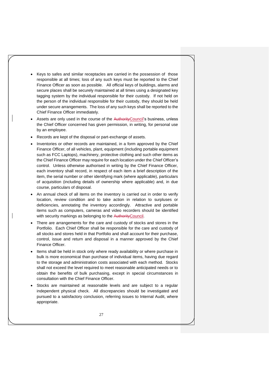- Keys to safes and similar receptacles are carried in the possession of those responsible at all times; loss of any such keys must be reported to the Chief Finance Officer as soon as possible. All official keys of buildings, alarms and secure places shall be securely maintained at all times using a designated key tagging system by the individual responsible for their custody. If not held on the person of the individual responsible for their custody, they should be held under secure arrangements. The loss of any such keys shall be reported to the Chief Finance Officer immediately.
- Assets are only used in the course of the AuthorityCouncil's business, unless the Chief Officer concerned has given permission, in writing, for personal use by an employee.
- Records are kept of the disposal or part-exchange of assets.
- Inventories or other records are maintained, in a form approved by the Chief Finance Officer, of all vehicles, plant, equipment (including portable equipment such as FCC Laptops), machinery, protective clothing and such other items as the Chief Finance Officer may require for each location under the Chief Officer's control. Unless otherwise authorised in writing by the Chief Finance Officer, each inventory shall record, in respect of each item a brief description of the item, the serial number or other identifying mark (where applicable), particulars of acquisition (including details of ownership where applicable) and, in due course, particulars of disposal.
- An annual check of all items on the inventory is carried out in order to verify location, review condition and to take action in relation to surpluses or deficiencies, annotating the inventory accordingly. Attractive and portable items such as computers, cameras and video recorders should be identified with security markings as belonging to the Authority Council.
- There are arrangements for the care and custody of stocks and stores in the Portfolio. Each Chief Officer shall be responsible for the care and custody of all stocks and stores held in that Portfolio and shall account for their purchase, control, issue and return and disposal in a manner approved by the Chief Finance Officer.
- Items shall be held in stock only where ready availability or where purchase in bulk is more economical than purchase of individual items, having due regard to the storage and administration costs associated with each method. Stocks shall not exceed the level required to meet reasonable anticipated needs or to obtain the benefits of bulk purchasing, except in special circumstances in consultation with the Chief Finance Officer.
- Stocks are maintained at reasonable levels and are subject to a regular independent physical check. All discrepancies should be investigated and pursued to a satisfactory conclusion, referring issues to Internal Audit, where appropriate.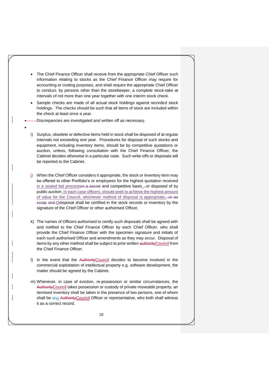- The Chief Finance Officer shall receive from the appropriate Chief Officer such information relating to stocks as the Chief Finance Officer may require for accounting or costing purposes, and shall require the appropriate Chief Officer to conduct, by persons other than the storekeeper, a complete stock-take at intervals of not more than one year together with one interim stock check.
- Sample checks are made of all actual stock holdings against recorded stock holdings. The checks should be such that all items of stock are included within the check at least once a year.
- Discrepancies are investigated and written off as necessary.

 $\bullet$ 

- i) Surplus, obsolete or defective items held in stock shall be disposed of at regular intervals not exceeding one year. Procedures for disposal of such stocks and equipment, including inventory items, should be by competitive quotations or auction, unless, following consultation with the Chief Finance Officer, the Cabinet decides otherwise in a particular case. Such write-offs or disposals will be reported to the Cabinet.
- j) When the Chief Officer considers it appropriate, the stock or inventory item may be offered to other Portfolio's or employees for the highest quotation received in a sealed bid processon a secret and competitive basis  $\pm$  or disposed of by public auction. In each case officers, should seek to achieve the highest amount of value for the Council, whichever method of disposal is appropriate., or as scrap and Ddisposal shall be certified in the stock records or inventory by the signature of the Chief Officer or other authorised Officer.
- k) The names of Officers authorised to certify such disposals shall be agreed with and notified to the Chief Finance Officer by each Chief Officer, who shall provide the Chief Finance Officer with the specimen signature and initials of each such authorised Officer and amendments as they may occur. Disposal of items by any other method shall be subject to prior written authority Council from the Chief Finance Officer.
- I) In the event that the AuthorityCouncil decides to become involved in the commercial exploitation of intellectual property e.g. software development, the matter should be agreed by the Cabinet.
- m) Whenever, in case of eviction, re-possession or similar circumstances, the Authority Council takes possession or custody of private moveable property, an itemised inventory shall be taken in the presence of two persons, one of whom shall be ana Authority Council Officer or representative, who both shall witness it as a correct record.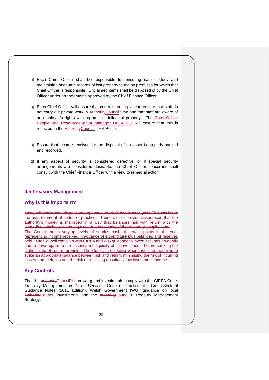- n) Each Chief Officer shall be responsible for ensuring safe custody and maintaining adequate records of lost property found on premises for which that Chief Officer is responsible. Unclaimed items shall be disposed of by the Chief Officer under arrangements approved by the Chief Finance Officer.
- o) Each Chief Officer will ensure that controls are in place to ensure that staff do not carry out private work in Authority Council time and that staff are aware of an employer's rights with regard to intellectual property. The Chief Officer People and ResourcesSenior Manager HR & OD will ensure that this is reflected in the Authority Council's HR Policies.
- p) Ensure that income received for the disposal of an asset is properly banked and recorded.
- q) If any aspect of security is considered defective, or if special security arrangements are considered desirable, the Chief Officer concerned shall consult with the Chief Finance Officer with a view to remedial action.

### **4.5 Treasury Management**

#### **Why is this important?**

Many millions of pounds pass through the authority's books each year. This has led to the establishment of codes of practices. These aim to provide assurances that the authority's money is managed in a way that balances risk with return with the overriding consideration being given to the security of the authority's capital sum. The Council holds varying levels of surplus cash at certain points in the year representing income received in advance of expenditure plus balances and reserves held. The Council complies with CIPFA and WG guidance to invest its funds prudently and to have regard to the security and liquidity of its investments before seeking the highest rate of return, or yield. The Council's objective when investing money is to strike an appropriate balance between risk and return, minimising the risk of incurring losses from defaults and the risk of receiving unsuitably low investment income.

#### **Key Controls**

That the authorityCouncil's borrowing and investments comply with the CIPFA Code: Treasury Management in Public Services: Code of Practice and Cross-Sectoral Guidance Notes (2011 Edition), Welsh Government (WG) guidance on local authorityCouncil investments and the authorityCouncil's Treasury Management Strategy.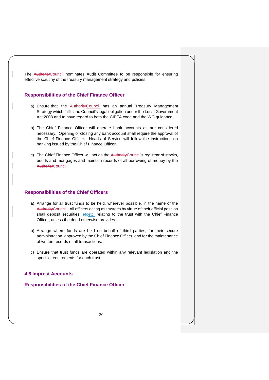The AuthorityCouncil nominates Audit Committee to be responsible for ensuring effective scrutiny of the treasury management strategy and policies.

#### **Responsibilities of the Chief Finance Officer**

- a) Ensure that the Authority Council has an annual Treasury Management Strategy which fulfils the Council's legal obligation under the Local Government Act 2003 and to have regard to both the CIPFA code and the WG guidance.
- b) The Chief Finance Officer will operate bank accounts as are considered necessary. Opening or closing any bank account shall require the approval of the Chief Finance Officer. Heads of Service will follow the instructions on banking issued by the Chief Finance Officer.
- c) The Chief Finance Officer will act as the Authority Council's registrar of stocks, bonds and mortgages and maintain records of all borrowing of money by the AuthorityCouncil.

#### **Responsibilities of the Chief Officers**

- a) Arrange for all trust funds to be held, wherever possible, in the name of the AuthorityCouncil. All officers acting as trustees by virtue of their official position shall deposit securities, eteetc. relating to the trust with the Chief Finance Officer, unless the deed otherwise provides.
- b) Arrange where funds are held on behalf of third parties, for their secure administration, approved by the Chief Finance Officer, and for the maintenance of written records of all transactions.
- c) Ensure that trust funds are operated within any relevant legislation and the specific requirements for each trust.

# **4.6 Imprest Accounts**

# **Responsibilities of the Chief Finance Officer**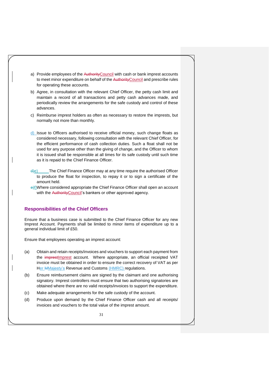- a) Provide employees of the Authority Council with cash or bank imprest accounts to meet minor expenditure on behalf of the AuthorityCouncil and prescribe rules for operating these accounts.
- b) Agree, in consultation with the relevant Chief Officer, the petty cash limit and maintain a record of all transactions and petty cash advances made, and periodically review the arrangements for the safe custody and control of these advances.
- c) Reimburse imprest holders as often as necessary to restore the imprests, but normally not more than monthly.
- d) Issue to Officers authorised to receive official money, such change floats as considered necessary, following consultation with the relevant Chief Officer, for the efficient performance of cash collection duties. Such a float shall not be used for any purpose other than the giving of change, and the Officer to whom it is issued shall be responsible at all times for its safe custody until such time as it is repaid to the Chief Finance Officer.
- $\frac{d}{dx}$  The Chief Finance Officer may at any time require the authorised Officer to produce the float for inspection, to repay it or to sign a certificate of the amount held.
- e)f)Where considered appropriate the Chief Finance Officer shall open an account with the Authority Council's bankers or other approved agency.

### **Responsibilities of the Chief Officers**

Ensure that a business case is submitted to the Chief Finance Officer for any new Imprest Account. Payments shall be limited to minor items of expenditure up to a general individual limit of £50.

Ensure that employees operating an imprest account:

- (a) Obtain and retain receipts/invoices and vouchers to support each payment from the imprest Imprest account. Where appropriate, an official receipted VAT invoice must be obtained in order to ensure the correct recovery of VAT as per Her MMajesty's Revenue and Customs (HMRC) regulations.
- (b) Ensure reimbursement claims are signed by the claimant and one authorising signatory. Imprest controllers must ensure that two authorising signatories are obtained where there are no valid receipts/invoices to support the expenditure.
- (c) Make adequate arrangements for the safe custody of the account.
- (d) Produce upon demand by the Chief Finance Officer cash and all receipts/ invoices and vouchers to the total value of the imprest amount.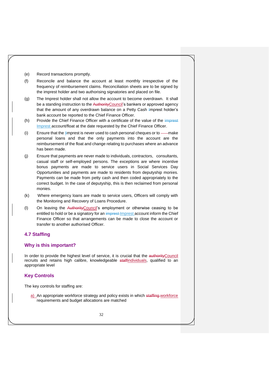- (e) Record transactions promptly.
- (f) Reconcile and balance the account at least monthly irrespective of the frequency of reimbursement claims. Reconciliation sheets are to be signed by the imprest holder and two authorising signatories and placed on file.
- (g) The Imprest holder shall not allow the account to become overdrawn. It shall be a standing instruction to the Authority Council's bankers or approved agency that the amount of any overdrawn balance on a Petty Cash Imprest holder's bank account be reported to the Chief Finance Officer.
- (h) Provide the Chief Finance Officer with a certificate of the value of the imprest Imprest account/float at the date requested by the Chief Finance Officer.
- $(i)$  Ensure that the limprest is never used to cash personal cheques or to make personal loans and that the only payments into the account are the reimbursement of the float and change relating to purchases where an advance has been made.
- (j) Ensure that payments are never made to individuals, contractors, consultants, casual staff or self-employed persons. The exceptions are where incentive bonus payments are made to service users in Social Services Day Opportunities and payments are made to residents from deputyship monies. Payments can be made from petty cash and then coded appropriately to the correct budget. In the case of deputyship, this is then reclaimed from personal monies.
- (k) Where emergency loans are made to service users, Officers will comply with the Monitoring and Recovery of Loans Procedure.
- (l) On leaving the AuthorityCouncil's employment or otherwise ceasing to be entitled to hold or be a signatory for an imprest-Imprest account inform the Chief Finance Officer so that arrangements can be made to close the account or transfer to another authorised Officer.

## **4.7 Staffing**

### **Why is this important?**

In order to provide the highest level of service, it is crucial that the authority Council recruits and retains high calibre, knowledgeable staffindividuals, qualified to an appropriate level

### **Key Controls**

The key controls for staffing are:

a) An appropriate workforce strategy and policy exists in which staffing workforce requirements and budget allocations are matched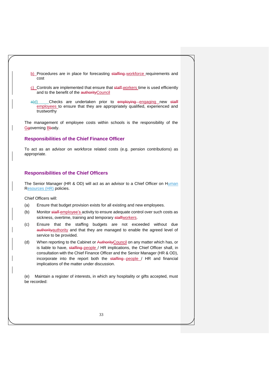- b) Procedures are in place for forecasting staffing workforce requirements and cost
- c) Controls are implemented that ensure that staff-workers time is used efficiently and to the benefit of the authorityCouncil
- a)d) Checks are undertaken prior to employing engaging new staff employees to ensure that they are appropriately qualified, experienced and trustworthy

The management of employee costs within schools is the responsibility of the Geoverning Bbody.

### **Responsibilities of the Chief Finance Officer**

To act as an advisor on workforce related costs (e.g. pension contributions) as appropriate.

# **Responsibilities of the Chief Officers**

The Senior Manager (HR & OD) will act as an advisor to a Chief Officer on Human Resources (HR) policies.

Chief Officers will:

- (a) Ensure that budget provision exists for all existing and new employees.
- (b) Monitor staff-employee's activity to ensure adequate control over such costs as sickness, overtime, training and temporary staffworkers.
- (c) Ensure that the staffing budgets are not exceeded without due authorityauthority and that they are managed to enable the agreed level of service to be provided.
- (d) When reporting to the Cabinet or Authority Council on any matter which has, or is liable to have, staffing-people / HR implications, the Chief Officer shall, in consultation with the Chief Finance Officer and the Senior Manager (HR & OD), incorporate into the report both the staffing-people / HR and financial implications of the matter under discussion.

(e) Maintain a register of interests, in which any hospitality or gifts accepted, must be recorded: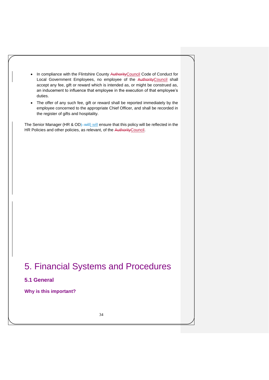- In compliance with the Flintshire County Authority Council Code of Conduct for Local Government Employees, no employee of the AuthorityCouncil shall accept any fee, gift or reward which is intended as, or might be construed as, an inducement to influence that employee in the execution of that employee's duties.
- The offer of any such fee, gift or reward shall be reported immediately by the employee concerned to the appropriate Chief Officer, and shall be recorded in the register of gifts and hospitality.

The Senior Manager (HR & OD) will will ensure that this policy will be reflected in the HR Policies and other policies, as relevant, of the Authority Council.

# 5. Financial Systems and Procedures

# **5.1 General**

**Why is this important?**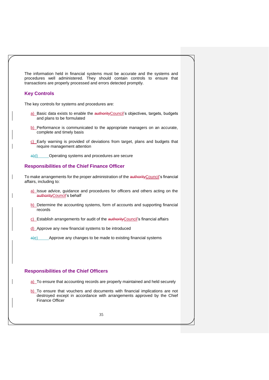

#### **Key Controls**

The key controls for systems and procedures are:

- a) Basic data exists to enable the authority Council's objectives, targets, budgets and plans to be formulated
- b) Performance is communicated to the appropriate managers on an accurate, complete and timely basis
- c) Early warning is provided of deviations from target, plans and budgets that require management attention
- a)d) Operating systems and procedures are secure

# **Responsibilities of the Chief Finance Officer**

To make arrangements for the proper administration of the authority Council's financial affairs, including to:

- a) Issue advice, guidance and procedures for officers and others acting on the authorityCouncil's behalf
- b) Determine the accounting systems, form of accounts and supporting financial records
- c) Establish arrangements for audit of the authority Council's financial affairs
- d) Approve any new financial systems to be introduced

 $\frac{a}{e}$  Approve any changes to be made to existing financial systems

#### **Responsibilities of the Chief Officers**

a) To ensure that accounting records are properly maintained and held securely

b) To ensure that vouchers and documents with financial implications are not destroyed except in accordance with arrangements approved by the Chief Finance Officer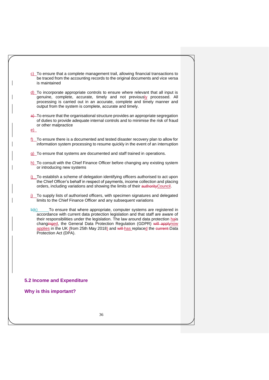- c) To ensure that a complete management trail, allowing financial transactions to be traced from the accounting records to the original documents and vice versa is maintained
- d) To incorporate appropriate controls to ensure where relevant that all input is genuine, complete, accurate, timely and not previously processed. All processing is carried out in an accurate, complete and timely manner and output from the system is complete, accurate and timely.
- a) To ensure that the organisational structure provides an appropriate segregation of duties to provide adequate internal controls and to minimise the risk of fraud or other malpractice
- e)
- f) To ensure there is a documented and tested disaster recovery plan to allow for information system processing to resume quickly in the event of an interruption
- g) To ensure that systems are documented and staff trained in operations.
- h) To consult with the Chief Finance Officer before changing any existing system or introducing new systems
- i) To establish a scheme of delegation identifying officers authorised to act upon the Chief Officer's behalf in respect of payments, income collection and placing orders, including variations and showing the limits of their authorityCouncil.
- j) To supply lists of authorised officers, with specimen signatures and delegated limits to the Chief Finance Officer and any subsequent variations
- $\frac{b}{k}$  To ensure that where appropriate, computer systems are registered in accordance with current data protection legislation and that staff are aware of their responsibilities under the legislation. The law around data protection hais changinged, the General Data Protection Regulation (GDPR) will applynow applies in the UK (from 25th May 2018) and will has replaced the current Data Protection Act (DPA).

### **5.2 Income and Expenditure**

**Why is this important?**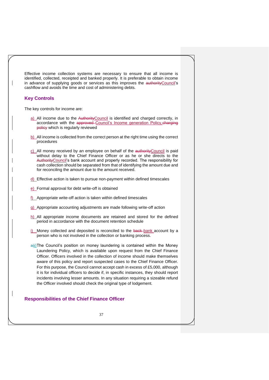Effective income collection systems are necessary to ensure that all income is identified, collected, receipted and banked properly. It is preferable to obtain income in advance of supplying goods or services as this improves the authorityCouncil's cashflow and avoids the time and cost of administering debts.

# **Key Controls**

The key controls for income are:

- a) All income due to the AuthorityCouncil is identified and charged correctly, in accordance with the approved Council's Income generation Policy, charging policy which is regularly reviewed
- b) All income is collected from the correct person at the right time using the correct procedures
- c) All money received by an employee on behalf of the authority Council is paid without delay to the Chief Finance Officer or as he or she directs to the AuthorityCouncil's bank account and properly recorded. The responsibility for cash collection should be separated from that of identifying the amount due and for reconciling the amount due to the amount received.
- d) Effective action is taken to pursue non-payment within defined timescales
- e) Formal approval for debt write-off is obtained
- f) Appropriate write-off action is taken within defined timescales
- g) Appropriate accounting adjustments are made following write-off action
- h) All appropriate income documents are retained and stored for the defined period in accordance with the document retention schedule
- i) Money collected and deposited is reconciled to the back-bank account by a person who is not involved in the collection or banking process.
- $\Rightarrow$ i)The Council's position on money laundering is contained within the Money Laundering Policy, which is available upon request from the Chief Finance Officer. Officers involved in the collection of income should make themselves aware of this policy and report suspected cases to the Chief Finance Officer. For this purpose, the Council cannot accept cash in excess of £5,000, although it is for individual officers to decide if, in specific instances, they should report incidents involving lesser amounts. In any situation requiring a sizeable refund the Officer involved should check the original type of lodgement.

#### **Responsibilities of the Chief Finance Officer**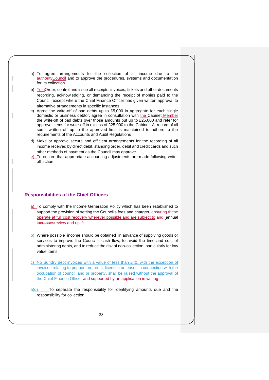- a) To agree arrangements for the collection of all income due to the authority Council and to approve the procedures, systems and documentation for its collection
- b) To oOrder, control and issue all receipts, invoices, tickets and other documents recording, acknowledging, or demanding the receipt of monies paid to the Council, except where the Chief Finance Officer has given written approval to alternative arrangements in specific instances.
- c) Agree the write-off of bad debts up to £5,000 in aggregate for each single domestic or business debtor, agree in consultation with the Cabinet Member the write-off of bad debts over those amounts but up to £25,000 and refer for approval items for write-off in excess of £25,000 to the Cabinet. A record of all sums written off up to the approved limit is maintained to adhere to the requirements of the Accounts and Audit Regulations
- d) Make or approve secure and efficient arrangements for the recording of all income received by direct debit, standing order, debit and credit cards and such other methods of payment as the Council may approve
- e) To ensure that appropriate accounting adjustments are made following writeoff action

### **Responsibilities of the Chief Officers**

- a) To comply with the Income Generation Policy which has been established to support the provision of setting the Council's fees and charges, ensuring these operate at full cost recovery wherever possible and are subject to and annual increasesreview and uplift.
- b) Where possible income should be obtained in advance of supplying goods or services to improve the Council's cash flow, to avoid the time and cost of administering debts, and to reduce the risk of non-collection, particularly for low value items.
- c) No Sundry debt invoices with a value of less than £40, with the exception of invoices relating to peppercorn rents, licenses or leases in connection with the occupation of council land or property, shall be raised without the approval of the Chief Finance Officer and supported by an application in writing.
- $\theta$   $\theta$ ) To separate the responsibility for identifying amounts due and the responsibility for collection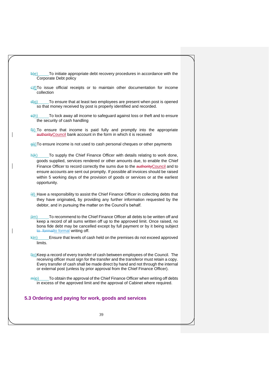- $\Theta$ e) To initiate appropriate debt recovery procedures in accordance with the Corporate Debt policy
- $\theta$ f)To issue official receipts or to maintain other documentation for income collection
- $\frac{d}{d}$ g) To ensure that at least two employees are present when post is opened so that money received by post is properly identified and recorded.
- $\frac{e(h)}{h}$  To lock away all income to safeguard against loss or theft and to ensure the security of cash handling
- $f(x)$  To ensure that income is paid fully and promptly into the appropriate authorityCouncil bank account in the form in which it is received
- $\frac{g}{g}$ )) To ensure income is not used to cash personal cheques or other payments
- $\frac{h(k)}{k}$  To supply the Chief Finance Officer with details relating to work done, goods supplied, services rendered or other amounts due, to enable the Chief Finance Officer to record correctly the sums due to the authority Council and to ensure accounts are sent out promptly. If possible all invoices should be raised within 5 working days of the provision of goods or services or at the earliest opportunity.
- i)] Have a responsibility to assist the Chief Finance Officer in collecting debts that they have originated*,* by providing any further information requested by the debtor, and in pursuing the matter on the Council's behalf.
- $\frac{1}{2}$ m) To recommend to the Chief Finance Officer all debts to be written off and keep a record of all sums written off up to the approved limit. Once raised, no bona fide debt may be cancelled except by full payment or by it being subject to formalto formal writing off.
- $k/n$ ) Ensure that levels of cash held on the premises do not exceed approved limits.
- $\bigoplus$ ) Keep a record of every transfer of cash between employees of the Council. The receiving officer must sign for the transfer and the transferor must retain a copy. Every transfer of cash shall be made direct by hand and not through the internal or external post (unless by prior approval from the Chief Finance Officer).
- $\frac{m}{p}$ ) To obtain the approval of the Chief Finance Officer when writing off debts in excess of the approved limit and the approval of Cabinet where required.

# **5.3 Ordering and paying for work, goods and services**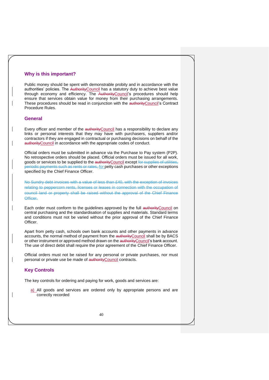#### **Why is this important?**

Public money should be spent with demonstrable probity and in accordance with the authorities' policies. The Authority Council has a statutory duty to achieve best value through economy and efficiency. The AuthorityCouncil's procedures should help ensure that services obtain value for money from their purchasing arrangements. These procedures should be read in conjunction with the authority Council's Contract Procedure Rules.

#### **General**

Every officer and member of the authority Council has a responsibility to declare any links or personal interests that they may have with purchasers, suppliers and/or contractors if they are engaged in contractual or purchasing decisions on behalf of the authorityCouncil in accordance with the appropriate codes of conduct.

Official orders must be submitted in advance via the Purchase to Pay system (P2P). No retrospective orders should be placed. Official orders must be issued for all work, goods or services to be supplied to the authority Council except for supplies of utilities, periodic payments such as rents or rates, for petty cash purchases or other exceptions specified by the Chief Finance Officer.

No Sundry debt invoices with a value of less than £40, with the exception of invoices relating to peppercorn rents, licenses or leases in connection with the occupation of council land or property shall be raised without the approval of the Chief Finance Officer.

Each order must conform to the guidelines approved by the full authorityCouncil on central purchasing and the standardisation of supplies and materials. Standard terms and conditions must not be varied without the prior approval of the Chief Finance Officer.

Apart from petty cash, schools own bank accounts and other payments in advance accounts, the normal method of payment from the authorityCouncil shall be by BACS or other instrument or approved method drawn on the authorityCouncil's bank account. The use of direct debit shall require the prior agreement of the Chief Finance Officer.

Official orders must not be raised for any personal or private purchases, nor must personal or private use be made of authorityCouncil contracts.

#### **Key Controls**

The key controls for ordering and paying for work, goods and services are:

a) All goods and services are ordered only by appropriate persons and are correctly recorded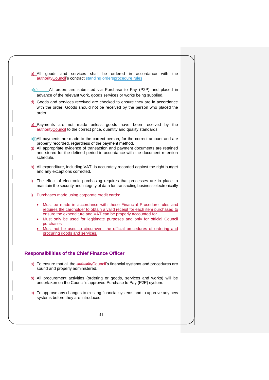|                                                             |  |  |  |  |  |  |  |  | b) All goods and services shall be ordered in accordance with the |  |  |
|-------------------------------------------------------------|--|--|--|--|--|--|--|--|-------------------------------------------------------------------|--|--|
| authority Council's contract standing ordersprocedure rules |  |  |  |  |  |  |  |  |                                                                   |  |  |

- $a(c)$  All orders are submitted via Purchase to Pay (P2P) and placed in advance of the relevant work, goods services or works being supplied.
- d) Goods and services received are checked to ensure they are in accordance with the order. Goods should not be received by the person who placed the order
- e) Payments are not made unless goods have been received by the authority Council to the correct price, quantity and quality standards
- $\bigoplus$ f)All payments are made to the correct person, for the correct amount and are properly recorded, regardless of the payment method.
- g) All appropriate evidence of transaction and payment documents are retained and stored for the defined period in accordance with the document retention schedule.
- h) All expenditure, including VAT, is accurately recorded against the right budget and any exceptions corrected.
- i) The effect of electronic purchasing requires that processes are in place to maintain the security and integrity of data for transacting business electronically
- j) Purchases made using corporate credit cards:

.

- Must be made in accordance with these Financial Procedure rules and requires the cardholder to obtain a valid receipt for each item purchased to ensure the expenditure and VAT can be properly accounted for
- Must only be used for legitimate purposes and only for official Council purchases
- Must not be used to circumvent the official procedures of ordering and procuring goods and services.

### **Responsibilities of the Chief Finance Officer**

- a) To ensure that all the authority Council's financial systems and procedures are sound and properly administered.
- b) All procurement activities (ordering or goods, services and works) will be undertaken on the Council's approved Purchase to Pay (P2P) system.
- c) To approve any changes to existing financial systems and to approve any new systems before they are introduced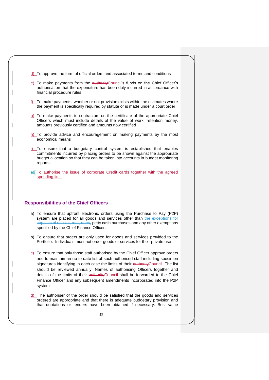- d) To approve the form of official orders and associated terms and conditions
- e) To make payments from the authority Council's funds on the Chief Officer's authorisation that the expenditure has been duly incurred in accordance with financial procedure rules
- f) To make payments, whether or not provision exists within the estimates where the payment is specifically required by statute or is made under a court order
- g) To make payments to contractors on the certificate of the appropriate Chief Officers which must include details of the value of work, retention money, amounts previously certified and amounts now certified
- h) To provide advice and encouragement on making payments by the most economical means
- i) To ensure that a budgetary control system is established that enables commitments incurred by placing orders to be shown against the appropriate budget allocation so that they can be taken into accounts in budget monitoring reports.
- $\Rightarrow$ i)To authorise the issue of corporate Credit cards together with the agreed spending limit

### **Responsibilities of the Chief Officers**

- a) To ensure that upfront electronic orders using the Purchase to Pay (P2P) system are placed for all goods and services other than the exceptions for supplies of utilities, rent, rates, petty cash purchases and any other exemptions specified by the Chief Finance Officer.
- b) To ensure that orders are only used for goods and services provided to the Portfolio. Individuals must not order goods or services for their private use
- c) To ensure that only those staff authorised by the Chief Officer approve orders and to maintain an up to date list of such authorised staff including specimen signatures identifying in each case the limits of their authority Council. The list should be reviewed annually. Names of authorising Officers together and details of the limits of their authorityCouncil shall be forwarded to the Chief Finance Officer and any subsequent amendments incorporated into the P2P system
- d) The authoriser of the order should be satisfied that the goods and services ordered are appropriate and that there is adequate budgetary provision and that quotations or tenders have been obtained if necessary. Best value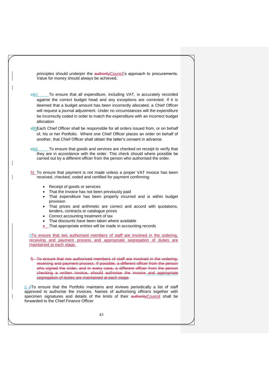principles should underpin the authority Council's approach to procurements. Value for money should always be achieved.

- $\frac{c}{c}$ ) To ensure that all expenditure, including VAT, is accurately recorded against the correct budget head and any exceptions are corrected. If it is deemed that a budget amount has been incorrectly allocated, a Chief Officer will request a journal adjustment. Under no circumstances will the expenditure be incorrectly coded in order to match the expenditure with an incorrect budget allocation.
- d)f)Each Chief Officer shall be responsible for all orders issued from, or on behalf of, his or her Portfolio. Where one Chief Officer places an order on behalf of another, that Chief Officer shall obtain the latter's consent in advance.
- $e$ ) To ensure that goods and services are checked on receipt to verify that they are in accordance with the order. This check should where possible be carried out by a different officer from the person who authorised the order.
- h) To ensure that payment is not made unless a proper VAT invoice has been received, checked, coded and certified for payment confirming:
	- Receipt of goods or services
	- That the invoice has not been previously paid
	- That expenditure has been properly incurred and is within budget provision
	- That prices and arithmetic are correct and accord with quotations, tenders, contracts or catalogue prices
	- Correct accounting treatment of tax
	- That discounts have been taken where available
	- That appropriate entries will be made in accounting records

i)To ensure that two authorised members of staff are involved in the ordering, receiving and payment process and appropriate segregation of duties are maintained at each stage.

f) To ensure that two authorised members of staff are involved in the ordering, receiving and payment process. If possible, a different officer from the person who signed the order, and in every case, a different officer from the person checking a written invoice, should authorise the invoice and appropriate segregation of duties are maintained at each stage.

j)  $\frac{1}{2}$ To ensure that the Portfolio maintains and reviews periodically a list of staff approved to authorise the invoices. Names of authorising officers together with specimen signatures and details of the limits of their authorityCouncil shall be forwarded to the Chief Finance Officer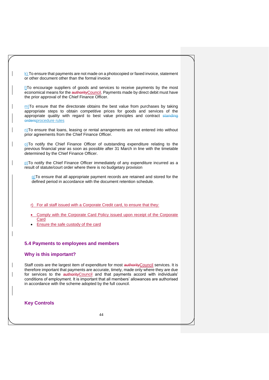k) To ensure that payments are not made on a photocopied or faxed invoice, statement or other document other than the formal invoice

l)To encourage suppliers of goods and services to receive payments by the most economical means for the authorityCouncil. Payments made by direct debit must have the prior approval of the Chief Finance Officer.

 $m$ )To ensure that the directorate obtains the best value from purchases by taking appropriate steps to obtain competitive prices for goods and services of the appropriate quality with regard to best value principles and contract standing ordersprocedure rules

n)To ensure that loans, leasing or rental arrangements are not entered into without prior agreements from the Chief Finance Officer.

o)To notify the Chief Finance Officer of outstanding expenditure relating to the previous financial year as soon as possible after 31 March in line with the timetable determined by the Chief Finance Officer.

p)To notify the Chief Finance Officer immediately of any expenditure incurred as a result of statute/court order where there is no budgetary provision

q)To ensure that all appropriate payment records are retained and stored for the defined period in accordance with the document retention schedule.

- r) For all staff issued with a Corporate Credit card, to ensure that they:
- Comply with the Corporate Card Policy issued upon receipt of the Corporate **Card**
- Ensure the safe custody of the card

# **5.4 Payments to employees and members**

# **Why is this important?**

Staff costs are the largest item of expenditure for most authorityCouncil services. It is therefore important that payments are accurate, timely, made only where they are due for services to the authorityCouncil and that payments accord with individuals' conditions of employment. It is important that all members' allowances are authorised in accordance with the scheme adopted by the full council.

**Key Controls**

44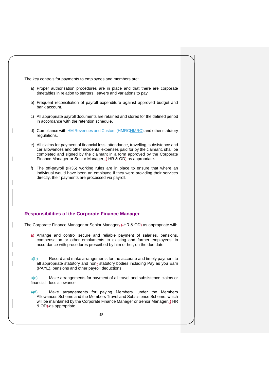The key controls for payments to employees and members are:

- a) Proper authorisation procedures are in place and that there are corporate timetables in relation to starters, leavers and variations to pay.
- b) Frequent reconciliation of payroll expenditure against approved budget and bank account.
- c) All appropriate payroll documents are retained and stored for the defined period in accordance with the retention schedule.
- d) Compliance with HM Revenues and Custom (HMRCHMRC) and other statutory regulations.
- e) All claims for payment of financial loss, attendance, travelling, subsistence and car allowances and other incidental expenses paid for by the claimant, shall be completed and signed by the claimant in a form approved by the Corporate Finance Manager or Senior Manager  $\frac{1}{r}$  (HR & OD) as appropriate.
- f) The [off-payroll \(IR35\) working rules](https://www.gov.uk/guidance/ir35-find-out-if-it-applies) are in place to ensure that where an individual would have been an employee if they were providing their services directly, their payments are processed via payroll.

### **Responsibilities of the Corporate Finance Manager**

The Corporate Finance Manager or Senior Manager, ( HR & OD) as appropriate will:

- a) Arrange and control secure and reliable payment of salaries, pensions, compensation or other emoluments to existing and former employees, in accordance with procedures prescribed by him or her, on the due date.
- $\frac{a(b)}{b}$  Record and make arrangements for the accurate and timely payment to all appropriate statutory and non-statutory bodies including Pay as you Earn (PAYE), pensions and other payroll deductions.

 $\Theta$ c) Make arrangements for payment of all travel and subsistence claims or financial loss allowance.

e)d) Make arrangements for paying Members' under the Members Allowances Scheme and the Members Travel and Subsistence Scheme, which will be maintained by the Corporate Finance Manager or Senior Manager, (-HR & OD) as appropriate.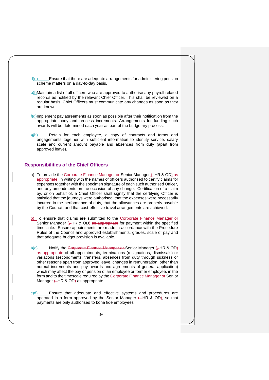- d)e) Ensure that there are adequate arrangements for administering pension scheme matters on a day-to-day basis.
- e)f)Maintain a list of all officers who are approved to authorise any payroll related records as notified by the relevant Chief Officer. This shall be reviewed on a regular basis. Chief Officers must communicate any changes as soon as they are known.
- $f_{\text{eq}}$ ] Implement pay agreements as soon as possible after their notification from the appropriate body and process increments. Arrangements for funding such awards will be determined each year as part of the budgetary process.
- $g$ h) Retain for each employee, a copy of contracts and terms and engagements together with sufficient information to identify service, salary scale and current amount payable and absences from duty (apart from approved leave).

#### **Responsibilities of the Chief Officers**

- a) To provide the Corporate Finance Manager or Senior Manager  $(-HR & OD)$  as appropriate, in writing with the names of officers authorised to certify claims for expenses together with the specimen signature of each such authorised Officer, and any amendments on the occasion of any change. Certification of a claim by, or on behalf of, a Chief Officer shall signify that the certifying Officer is satisfied that the journeys were authorised, that the expenses were necessarily incurred in the performance of duty, that the allowances are properly payable by the Council, and that cost-effective travel arrangements are achieved.
- b) To ensure that claims are submitted to the Corporate Finance Manager or Senior Manager  $(-HR & OD)$  as appropriate for payment within the specified timescale. Ensure appointments are made in accordance with the Procedure Rules of the Council and approved establishments, grades, scale of pay and that adequate budget provision is available.
- b)c) Notify the Corporate Finance Manager or Senior Manager (-HR & OD) as appropriate of all appointments, terminations (resignations, dismissals) or variations (secondments, transfers, absences from duty through sickness or other reasons apart from approved leave, changes in remuneration, other than normal increments and pay awards and agreements of general application) which may affect the pay or pension of an employee or former employee, in the form and to the timescale required by the Corporate Finance Manager or Senior Manager  $(-HR & OD)$  as appropriate.
- e)d) Ensure that adequate and effective systems and procedures are operated in a form approved by the Senior Manager  $($ —HR & OD), so that payments are only authorised to bona fide employees: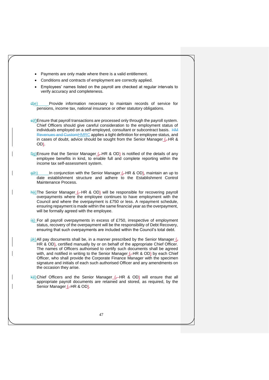- Payments are only made where there is a valid entitlement.
- Conditions and contracts of employment are correctly applied.
- Employees' names listed on the payroll are checked at regular intervals to verify accuracy and completeness.
- d)e) Provide information necessary to maintain records of service for pensions, income tax, national insurance or other statutory obligations.
- e)f)Ensure that payroll transactions are processed only through the payroll system. Chief Officers should give careful consideration to the employment status of individuals employed on a self-employed, consultant or subcontract basis. HM Revenues and CustomHMRC applies a tight definition for employee status, and in cases of doubt, advice should be sought from the Senior Manager  $(-HR &$ OD).
- $\frac{f(x)}{g(x)}$ Ensure that the Senior Manager (-HR & OD) is notified of the details of any employee benefits in kind, to enable full and complete reporting within the income tax self-assessment system.
- $\frac{g(h)}{h}$  In conjunction with the Senior Manager (-HR & OD), maintain an up to date establishment structure and adhere to the Establishment Control Maintenance Process.
- $\frac{h}{i}$ ) The Senior Manager (-HR & OD) will be responsible for recovering payroll overpayments where the employee continues to have employment with the Council and where the overpayment is £750 or less. A repayment schedule, ensuring repayment is made within the same financial year as the overpayment, will be formally agreed with the employee.
- $\hat{H}$ ) For all payroll overpayments in excess of £750, irrespective of employment status, recovery of the overpayment will be the responsibility of Debt Recovery, ensuring that such overpayments are included within the Council's total debt.
- $\frac{1}{2}$ k) All pay documents shall be, in a manner prescribed by the Senior Manager ( $\frac{1}{2}$ HR & OD), certified manually by or on behalf of the appropriate Chief Officer. The names of Officers authorised to certify such documents shall be agreed with, and notified in writing to the Senior Manager (-HR & OD) by each Chief Officer, who shall provide the Corporate Finance Manager with the specimen signature and initials of each such authorised Officer and any amendments on the occasion they arise.
- $\frac{1}{2}$ ) Chief Officers and the Senior Manager (-HR & OD) will ensure that all appropriate payroll documents are retained and stored, as required, by the Senior Manager (-HR & OD).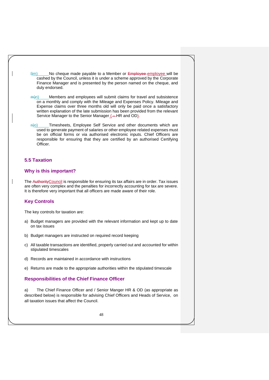- $\downarrow$ m) No cheque made payable to a Member or  $\equiv$ mployee employee will be cashed by the Council, unless it is under a scheme approved by the Corporate Finance Manager and is presented by the person named on the cheque, and duly endorsed.
- $\frac{m(n)}{n}$  Members and employees will submit claims for travel and subsistence on a monthly and comply with the Mileage and Expenses Policy. Mileage and Expense claims over three months old will only be paid once a satisfactory written explanation of the late submission has been provided from the relevant Service Manager to the Senior Manager (-HR and OD).
- $\frac{h}{c}$ ) Timesheets, Employee Self Service and other documents which are used to generate payment of salaries or other employee related expenses must be on official forms or via authorised electronic inputs. Chief Officers are responsible for ensuring that they are certified by an authorised Certifying Officer.

# **5.5 Taxation**

# **Why is this important?**

The Authority Council is responsible for ensuring its tax affairs are in order. Tax issues are often very complex and the penalties for incorrectly accounting for tax are severe. It is therefore very important that all officers are made aware of their role.

# **Key Controls**

The key controls for taxation are:

- a) Budget managers are provided with the relevant information and kept up to date on tax issues
- b) Budget managers are instructed on required record keeping
- c) All taxable transactions are identified, properly carried out and accounted for within stipulated timescales
- d) Records are maintained in accordance with instructions
- e) Returns are made to the appropriate authorities within the stipulated timescale

## **Responsibilities of the Chief Finance Officer**

a) The Chief Finance Officer and / Senior Manger HR & OD (as appropriate as described below) is responsible for advising Chief Officers and Heads of Service, on all taxation issues that affect the Council.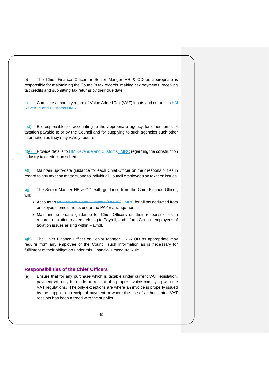b) The Chief Finance Officer or Senior Manger HR & OD as appropriate is responsible for maintaining the Council's tax records, making tax payments, receiving tax credits and submitting tax returns by their due date.

c) Complete a monthly return of Value Added Tax (VAT) inputs and outputs to  $\frac{14M}{100}$ Revenue and Customs.HMRC.

 $\leftrightarrow$ d) Be responsible for accounting to the appropriate agency for other forms of taxation payable to or by the Council and for supplying to such agencies such other information as they may validly require.

d)e) Provide details to HM Revenue and CustomsHMRC regarding the construction industry tax deduction scheme.

e)f) Maintain up-to-date guidance for each Chief Officer on their responsibilities in regard to any taxation matters, and to individual Council employees on taxation issues.

 $f(g)$  The Senior Manger HR & OD, with guidance from the Chief Finance Officer, will:

- Account to HM Revenue and Customs (HMRC) HMRC for all tax deducted from employees' emoluments under the PAYE arrangements.
- Maintain up-to-date guidance for Chief Officers on their responsibilities in regard to taxation matters relating to Payroll, and inform Council employees of taxation issues arising within Payroll.

g<sub>)h</sub>) The Chief Finance Officer or Senior Manger HR & OD as appropriate may require from any employee of the Council such information as is necessary for fulfilment of their obligation under this Financial Procedure Rule.

### **Responsibilities of the Chief Officers**

(a) Ensure that for any purchase which is taxable under current VAT legislation, payment will only be made on receipt of a proper invoice complying with the VAT regulations. The only exceptions are where an invoice is properly issued by the supplier on receipt of payment or where the use of authenticated VAT receipts has been agreed with the supplier.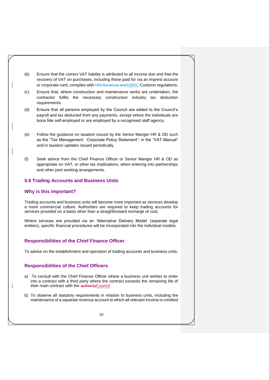- (b) Ensure that the correct VAT liability is attributed to all income due and that the recovery of VAT on purchases, including those paid for via an imprest account or corporate card, complies with HM Revenue and HMRC Customs regulations.
- (c) Ensure that, where construction and maintenance works are undertaken, the contractor fulfils the necessary construction industry tax deduction requirements.
- (d) Ensure that all persons employed by the Council are added to the Council's payroll and tax deducted from any payments, except where the individuals are bona fide self-employed or are employed by a recognised staff agency.
- (e) Follow the guidance on taxation issued by the Senior Manger HR & OD such as the "Tax Management: Corporate Policy Statement"; in the "VAT Manual" and in taxation updates issued periodically.
- (f) Seek advice from the Chief Finance Officer or Senior Manger HR & OD as appropriate on VAT, or other tax implications, when entering into partnerships and other joint working arrangements.

# **5.6 Trading Accounts and Business Units**

### **Why is this important?**

Trading accounts and business units will become more important as services develop a more commercial culture. Authorities are required to keep trading accounts for services provided on a basis other than a straightforward recharge of cost.

Where services are provided via an 'Alternative Delivery Model' (separate legal entities), specific financial procedures will be incorporated into the individual models.

### **Responsibilities of the Chief Finance Officer**

To advise on the establishment and operation of trading accounts and business units.

### **Responsibilities of the Chief Officers**

- a) To consult with the Chief Finance Officer where a business unit wishes to enter into a contract with a third party where the contract exceeds the remaining life of their main contract with the authority Council
- b) To observe all statutory requirements in relation to business units, including the maintenance of a separate revenue account to which all relevant income is credited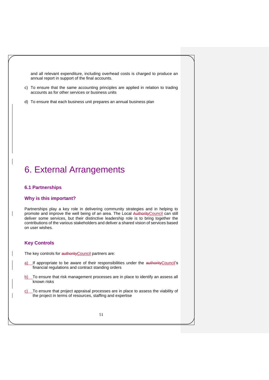and all relevant expenditure, including overhead costs is charged to produce an annual report in support of the final accounts.

- c) To ensure that the same accounting principles are applied in relation to trading accounts as for other services or business units
- d) To ensure that each business unit prepares an annual business plan

# 6. External Arrangements

### **6.1 Partnerships**

### **Why is this important?**

Partnerships play a key role in delivering community strategies and in helping to promote and improve the well being of an area. The Local Authority Council can still deliver some services, but their distinctive leadership role is to bring together the contributions of the various stakeholders and deliver a shared vision of services based on user wishes.

# **Key Controls**

The key controls for authority Council partners are:

- a) If appropriate to be aware of their responsibilities under the authorityCouncil's financial regulations and contract standing orders
- b) To ensure that risk management processes are in place to identify an assess all known risks
- c) To ensure that project appraisal processes are in place to assess the viability of the project in terms of resources, staffing and expertise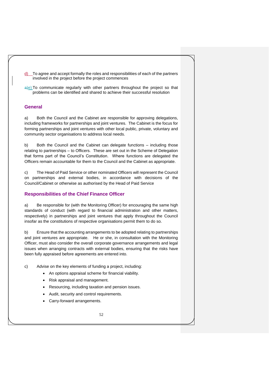- d) To agree and accept formally the roles and responsibilities of each of the partners involved in the project before the project commences
- a)e) To communicate regularly with other partners throughout the project so that problems can be identified and shared to achieve their successful resolution

# **General**

a) Both the Council and the Cabinet are responsible for approving delegations, including frameworks for partnerships and joint ventures. The Cabinet is the focus for forming partnerships and joint ventures with other local public, private, voluntary and community sector organisations to address local needs.

b) Both the Council and the Cabinet can delegate functions – including those relating to partnerships – to Officers. These are set out in the Scheme of Delegation that forms part of the Council's Constitution. Where functions are delegated the Officers remain accountable for them to the Council and the Cabinet as appropriate.

c) The Head of Paid Service or other nominated Officers will represent the Council on partnerships and external bodies, in accordance with decisions of the Council/Cabinet or otherwise as authorised by the Head of Paid Service

#### **Responsibilities of the Chief Finance Officer**

a) Be responsible for (with the Monitoring Officer) for encouraging the same high standards of conduct (with regard to financial administration and other matters, respectively) in partnerships and joint ventures that apply throughout the Council insofar as the constitutions of respective organisations permit them to do so.

b) Ensure that the accounting arrangements to be adopted relating to partnerships and joint ventures are appropriate. He or she, in consultation with the Monitoring Officer, must also consider the overall corporate governance arrangements and legal issues when arranging contracts with external bodies, ensuring that the risks have been fully appraised before agreements are entered into.

- c) Advise on the key elements of funding a project, including:
	- An options appraisal scheme for financial viability.
	- Risk appraisal and management.
	- Resourcing, including taxation and pension issues.
	- Audit, security and control requirements.
	- Carry-forward arrangements.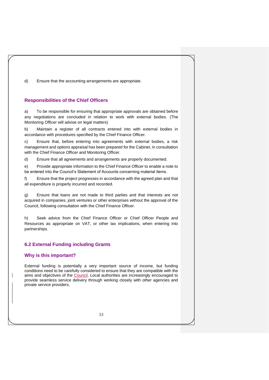d) Ensure that the accounting arrangements are appropriate.

#### **Responsibilities of the Chief Officers**

a) To be responsible for ensuring that appropriate approvals are obtained before any negotiations are concluded in relation to work with external bodies. (The Monitoring Officer will advise on legal matters)

b) Maintain a register of all contracts entered into with external bodies in accordance with procedures specified by the Chief Finance Officer.

c) Ensure that, before entering into agreements with external bodies, a risk management and options appraisal has been prepared for the Cabinet, in consultation with the Chief Finance Officer and Monitoring Officer.

d) Ensure that all agreements and arrangements are properly documented.

e) Provide appropriate information to the Chief Finance Officer to enable a note to be entered into the Council's Statement of Accounts concerning material items.

f) Ensure that the project progresses in accordance with the agreed plan and that all expenditure is properly incurred and recorded.

g) Ensure that loans are not made to third parties and that interests are not acquired in companies, joint ventures or other enterprises without the approval of the Council, following consultation with the Chief Finance Officer.

h) Seek advice from the Chief Finance Officer or Chief Officer People and Resources as appropriate on VAT, or other tax implications, when entering into partnerships.

### **6.2 External Funding including Grants**

#### **Why is this important?**

External funding is potentially a very important source of income, but funding conditions need to be carefully considered to ensure that they are compatible with the aims and objectives of the Council. Local authorities are increasingly encouraged to provide seamless service delivery through working closely with other agencies and private service providers.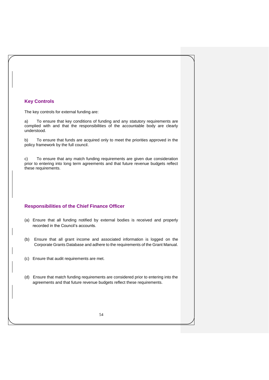# **Key Controls**

The key controls for external funding are:

a) To ensure that key conditions of funding and any statutory requirements are complied with and that the responsibilities of the accountable body are clearly understood.

b) To ensure that funds are acquired only to meet the priorities approved in the policy framework by the full council.

c) To ensure that any match funding requirements are given due consideration prior to entering into long term agreements and that future revenue budgets reflect these requirements.

### **Responsibilities of the Chief Finance Officer**

- (a) Ensure that all funding notified by external bodies is received and properly recorded in the Council's accounts.
- (b) Ensure that all grant income and associated information is logged on the Corporate Grants Database and adhere to the requirements of the Grant Manual.
- (c) Ensure that audit requirements are met.
- (d) Ensure that match funding requirements are considered prior to entering into the agreements and that future revenue budgets reflect these requirements.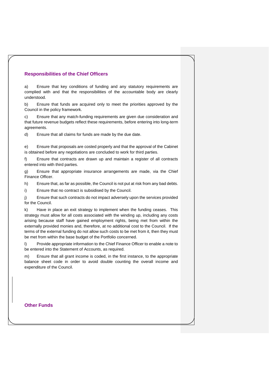# **Responsibilities of the Chief Officers**

a) Ensure that key conditions of funding and any statutory requirements are complied with and that the responsibilities of the accountable body are clearly understood.

b) Ensure that funds are acquired only to meet the priorities approved by the Council in the policy framework.

c) Ensure that any match-funding requirements are given due consideration and that future revenue budgets reflect these requirements, before entering into long-term agreements.

d) Ensure that all claims for funds are made by the due date.

e) Ensure that proposals are costed properly and that the approval of the Cabinet is obtained before any negotiations are concluded to work for third parties.

f) Ensure that contracts are drawn up and maintain a register of all contracts entered into with third parties.

g) Ensure that appropriate insurance arrangements are made, via the Chief Finance Officer.

h) Ensure that, as far as possible, the Council is not put at risk from any bad debts.

i) Ensure that no contract is subsidised by the Council.

j) Ensure that such contracts do not impact adversely upon the services provided for the Council.

k) Have in place an exit strategy to implement when the funding ceases. This strategy must allow for all costs associated with the winding up, including any costs arising because staff have gained employment rights, being met from within the externally provided monies and, therefore, at no additional cost to the Council. If the terms of the external funding do not allow such costs to be met from it, then they must be met from within the base budget of the Portfolio concerned.

l) Provide appropriate information to the Chief Finance Officer to enable a note to be entered into the Statement of Accounts, as required.

m) Ensure that all grant income is coded, in the first instance, to the appropriate balance sheet code in order to avoid double counting the overall income and expenditure of the Council.

**Other Funds**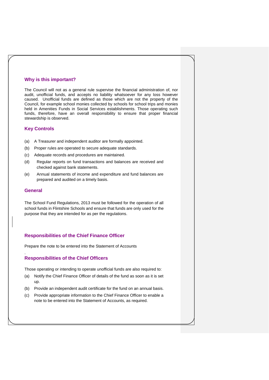# **Why is this important?**

The Council will not as a general rule supervise the financial administration of, nor audit, unofficial funds, and accepts no liability whatsoever for any loss however caused. Unofficial funds are defined as those which are not the property of the Council, for example school monies collected by schools for school trips and monies held in Amenities Funds in Social Services establishments. Those operating such funds, therefore, have an overall responsibility to ensure that proper financial stewardship is observed.

### **Key Controls**

- (a) A Treasurer and independent auditor are formally appointed.
- (b) Proper rules are operated to secure adequate standards.
- (c) Adequate records and procedures are maintained.
- (d) Regular reports on fund transactions and balances are received and checked against bank statements.
- (e) Annual statements of income and expenditure and fund balances are prepared and audited on a timely basis.

## **General**

.

The School Fund Regulations, 2013 must be followed for the operation of all school funds in Flintshire Schools and ensure that funds are only used for the purpose that they are intended for as per the regulations.

### **Responsibilities of the Chief Finance Officer**

Prepare the note to be entered into the Statement of Accounts

### **Responsibilities of the Chief Officers**

Those operating or intending to operate unofficial funds are also required to:

- (a) Notify the Chief Finance Officer of details of the fund as soon as it is set up.
- (b) Provide an independent audit certificate for the fund on an annual basis.
- (c) Provide appropriate information to the Chief Finance Officer to enable a note to be entered into the Statement of Accounts, as required.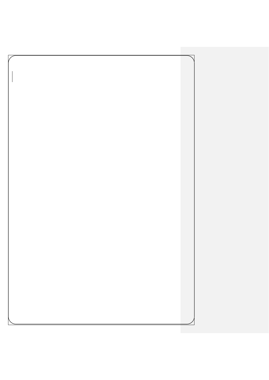